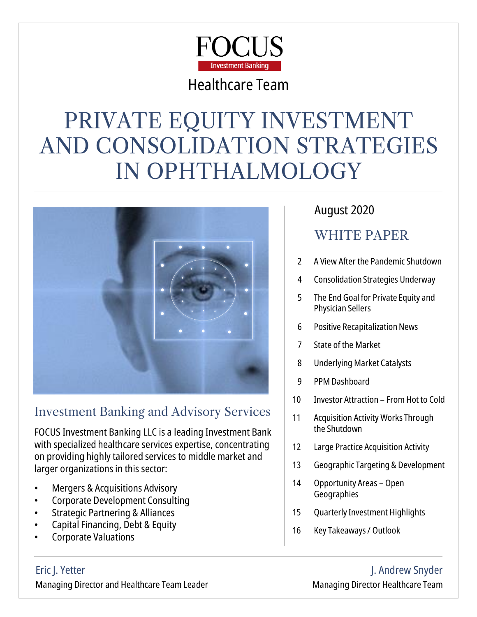

### Healthcare Team

# PRIVATE EQUITY INVESTMENT AND CONSOLIDATION STRATEGIES IN OPHTHALMOLOGY



### Investment Banking and Advisory Services

FOCUS Investment Banking LLC is a leading Investment Bank with specialized healthcare services expertise, concentrating on providing highly tailored services to middle market and larger organizations in this sector:

- Mergers & Acquisitions Advisory
- Corporate Development Consulting
- Strategic Partnering & Alliances
- Capital Financing, Debt & Equity
- Corporate Valuations

### August 2020

### WHITE PAPER

- 2 A View After the Pandemic Shutdown
- 4 Consolidation Strategies Underway
- 5 The End Goal for Private Equity and Physician Sellers
- 6 Positive Recapitalization News
- 7 State of the Market
- 8 Underlying Market Catalysts
- 9 PPM Dashboard
- 10 Investor Attraction From Hot to Cold
- 11 Acquisition Activity Works Through the Shutdown
- 12 Large Practice Acquisition Activity
- 13 Geographic Targeting & Development
- 14 Opportunity Areas Open **Geographies**
- 15 Quarterly Investment Highlights
- 16 Key Takeaways / Outlook

#### Eric J. Yetter Managing Director and Healthcare Team Leader

J. Andrew Snyder Managing Director Healthcare Team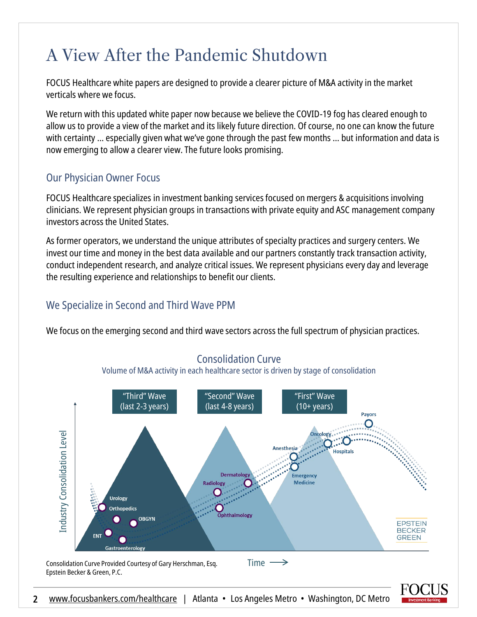### A View After the Pandemic Shutdown

FOCUS Healthcare white papers are designed to provide a clearer picture of M&A activity in the market verticals where we focus.

We return with this updated white paper now because we believe the COVID-19 fog has cleared enough to allow us to provide a view of the market and its likely future direction. Of course, no one can know the future with certainty … especially given what we've gone through the past few months … but information and data is now emerging to allow a clearer view. The future looks promising.

#### Our Physician Owner Focus

FOCUS Healthcare specializes in investment banking services focused on mergers & acquisitions involving clinicians. We represent physician groups in transactions with private equity and ASC management company investors across the United States.

As former operators, we understand the unique attributes of specialty practices and surgery centers. We invest our time and money in the best data available and our partners constantly track transaction activity, conduct independent research, and analyze critical issues. We represent physicians every day and leverage the resulting experience and relationships to benefit our clients.

#### We Specialize in Second and Third Wave PPM

We focus on the emerging second and third wave sectors across the full spectrum of physician practices.



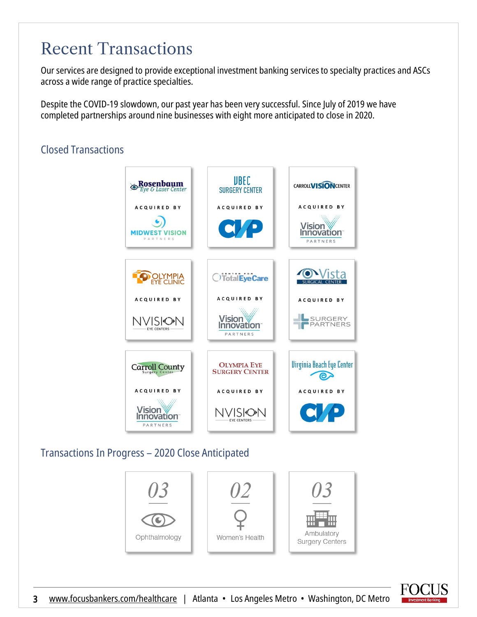### Recent Transactions

Our services are designed to provide exceptional investment banking services to specialty practices and ASCs across a wide range of practice specialties.

Despite the COVID-19 slowdown, our past year has been very successful. Since July of 2019 we have completed partnerships around nine businesses with eight more anticipated to close in 2020.

#### Closed Transactions



### Transactions In Progress – 2020 Close Anticipated



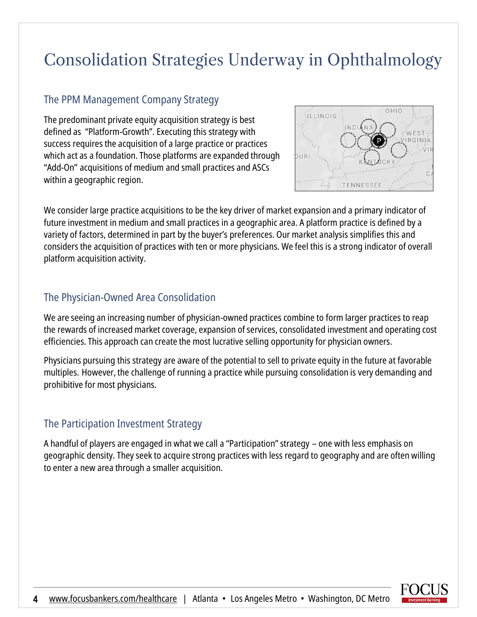# Consolidation Strategies Underway in Ophthalmology

#### The PPM Management Company Strategy

The predominant private equity acquisition strategy is best defined as "Platform-Growth". Executing this strategy with success requires the acquisition of a large practice or practices which act as a foundation. Those platforms are expanded through "Add-On" acquisitions of medium and small practices and ASCs within a geographic region.



We consider large practice acquisitions to be the key driver of market expansion and a primary indicator of future investment in medium and small practices in a geographic area. A platform practice is defined by a variety of factors, determined in part by the buyer's preferences. Our market analysis simplifies this and considers the acquisition of practices with ten or more physicians. We feel this is a strong indicator of overall platform acquisition activity.

#### The Physician-Owned Area Consolidation

We are seeing an increasing number of physician-owned practices combine to form larger practices to reap the rewards of increased market coverage, expansion of services, consolidated investment and operating cost efficiencies. This approach can create the most lucrative selling opportunity for physician owners.

Physicians pursuing this strategy are aware of the potential to sell to private equity in the future at favorable multiples. However, the challenge of running a practice while pursuing consolidation is very demanding and prohibitive for most physicians.

#### The Participation Investment Strategy

A handful of players are engaged in what we call a "Participation" strategy – one with less emphasis on geographic density. They seek to acquire strong practices with less regard to geography and are often willing to enter a new area through a smaller acquisition.

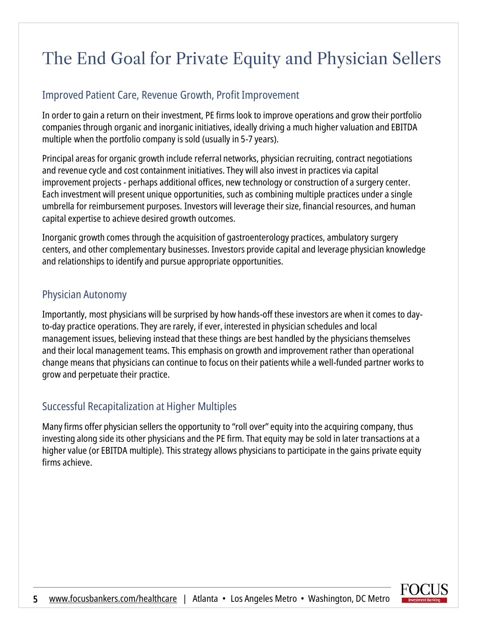# The End Goal for Private Equity and Physician Sellers

#### Improved Patient Care, Revenue Growth, Profit Improvement

In order to gain a return on their investment, PE firms look to improve operations and grow their portfolio companies through organic and inorganic initiatives, ideally driving a much higher valuation and EBITDA multiple when the portfolio company is sold (usually in 5-7 years).

Principal areas for organic growth include referral networks, physician recruiting, contract negotiations and revenue cycle and cost containment initiatives. They will also invest in practices via capital improvement projects - perhaps additional offices, new technology or construction of a surgery center. Each investment will present unique opportunities, such as combining multiple practices under a single umbrella for reimbursement purposes. Investors will leverage their size, financial resources, and human capital expertise to achieve desired growth outcomes.

Inorganic growth comes through the acquisition of gastroenterology practices, ambulatory surgery centers, and other complementary businesses. Investors provide capital and leverage physician knowledge and relationships to identify and pursue appropriate opportunities.

#### Physician Autonomy

Importantly, most physicians will be surprised by how hands-off these investors are when it comes to dayto-day practice operations. They are rarely, if ever, interested in physician schedules and local management issues, believing instead that these things are best handled by the physicians themselves and their local management teams. This emphasis on growth and improvement rather than operational change means that physicians can continue to focus on their patients while a well-funded partner works to grow and perpetuate their practice.

#### Successful Recapitalization at Higher Multiples

Many firms offer physician sellers the opportunity to "roll over" equity into the acquiring company, thus investing along side its other physicians and the PE firm. That equity may be sold in later transactions at a higher value (or EBITDA multiple). This strategy allows physicians to participate in the gains private equity firms achieve.

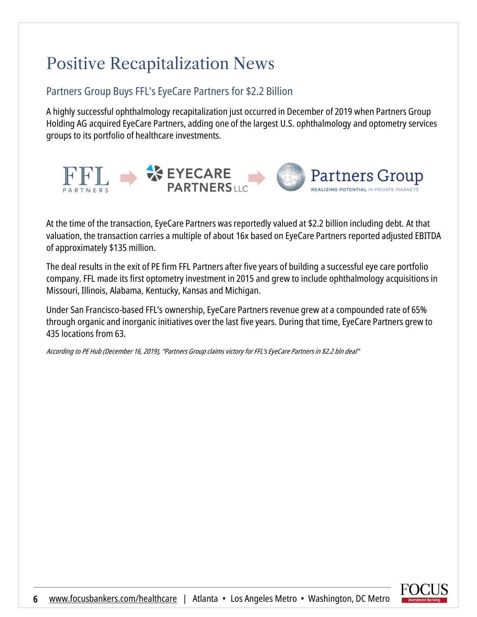# Positive Recapitalization News

#### Partners Group Buys FFL's EyeCare Partners for \$2.2 Billion

A highly successful ophthalmology recapitalization just occurred in December of 2019 when Partners Group Holding AG acquired EyeCare Partners, adding one of the largest U.S. ophthalmology and optometry services groups to its portfolio of healthcare investments.



At the time of the transaction, EyeCare Partners was reportedly valued at \$2.2 billion including debt. At that valuation, the transaction carries a multiple of about 16x based on EyeCare Partners reported adjusted EBITDA of approximately \$135 million.

The deal results in the exit of PE firm FFL Partners after five years of building a successful eye care portfolio company. FFL made its first optometry investment in 2015 and grew to include ophthalmology acquisitions in Missouri, Illinois, Alabama, Kentucky, Kansas and Michigan.

Under San Francisco-based FFL's ownership, EyeCare Partners revenue grew at a compounded rate of 65% through organic and inorganic initiatives over the last five years. During that time, EyeCare Partners grew to 435 locations from 63.

According to PE Hub (December 16, 2019), "Partners Group claims victory for FFL's EyeCare Partners in \$2.2 bln deal"

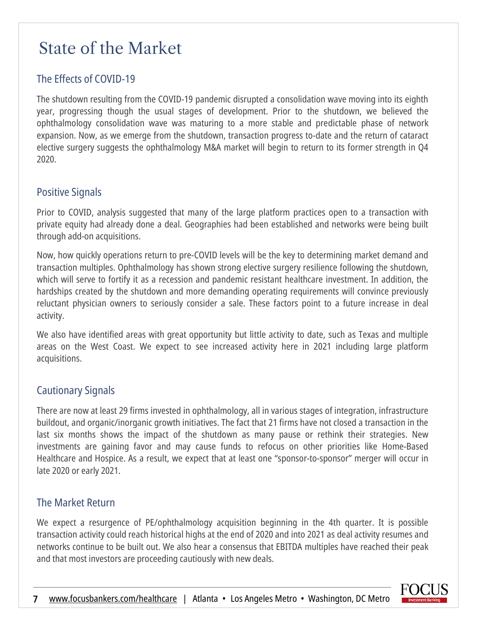### State of the Market

#### The Effects of COVID-19

The shutdown resulting from the COVID-19 pandemic disrupted a consolidation wave moving into its eighth year, progressing though the usual stages of development. Prior to the shutdown, we believed the ophthalmology consolidation wave was maturing to a more stable and predictable phase of network expansion. Now, as we emerge from the shutdown, transaction progress to-date and the return of cataract elective surgery suggests the ophthalmology M&A market will begin to return to its former strength in Q4 2020.

#### Positive Signals

Prior to COVID, analysis suggested that many of the large platform practices open to a transaction with private equity had already done a deal. Geographies had been established and networks were being built through add-on acquisitions.

Now, how quickly operations return to pre-COVID levels will be the key to determining market demand and transaction multiples. Ophthalmology has shown strong elective surgery resilience following the shutdown, which will serve to fortify it as a recession and pandemic resistant healthcare investment. In addition, the hardships created by the shutdown and more demanding operating requirements will convince previously reluctant physician owners to seriously consider a sale. These factors point to a future increase in deal activity.

We also have identified areas with great opportunity but little activity to date, such as Texas and multiple areas on the West Coast. We expect to see increased activity here in 2021 including large platform acquisitions.

#### Cautionary Signals

There are now at least 29 firms invested in ophthalmology, all in various stages of integration, infrastructure buildout, and organic/inorganic growth initiatives. The fact that 21 firms have not closed a transaction in the last six months shows the impact of the shutdown as many pause or rethink their strategies. New investments are gaining favor and may cause funds to refocus on other priorities like Home-Based Healthcare and Hospice. As a result, we expect that at least one "sponsor-to-sponsor" merger will occur in late 2020 or early 2021.

#### The Market Return

We expect a resurgence of PE/ophthalmology acquisition beginning in the 4th quarter. It is possible transaction activity could reach historical highs at the end of 2020 and into 2021 as deal activity resumes and networks continue to be built out. We also hear a consensus that EBITDA multiples have reached their peak and that most investors are proceeding cautiously with new deals.

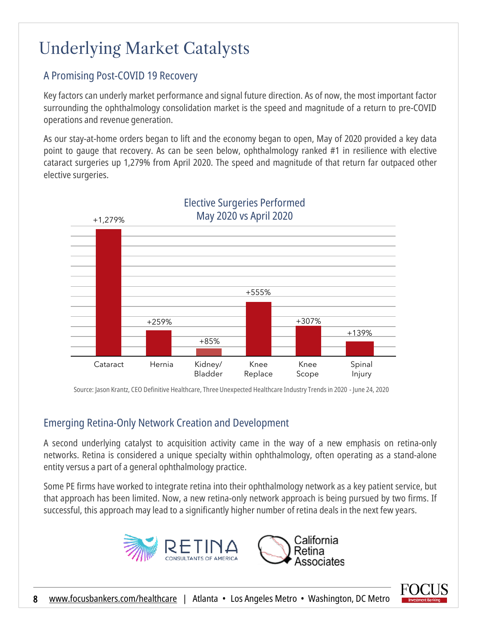# Underlying Market Catalysts

### A Promising Post-COVID 19 Recovery

Key factors can underly market performance and signal future direction. As of now, the most important factor surrounding the ophthalmology consolidation market is the speed and magnitude of a return to pre-COVID operations and revenue generation.

As our stay-at-home orders began to lift and the economy began to open, May of 2020 provided a key data point to gauge that recovery. As can be seen below, ophthalmology ranked #1 in resilience with elective cataract surgeries up 1,279% from April 2020. The speed and magnitude of that return far outpaced other elective surgeries.



#### Elective Surgeries Performed May 2020 vs April 2020

Source: Jason Krantz, CEO Definitive Healthcare, Three Unexpected Healthcare Industry Trends in 2020 - June 24, 2020

#### Emerging Retina-Only Network Creation and Development

A second underlying catalyst to acquisition activity came in the way of a new emphasis on retina-only networks. Retina is considered a unique specialty within ophthalmology, often operating as a stand-alone entity versus a part of a general ophthalmology practice.

Some PE firms have worked to integrate retina into their ophthalmology network as a key patient service, but that approach has been limited. Now, a new retina-only network approach is being pursued by two firms. If successful, this approach may lead to a significantly higher number of retina deals in the next few years.



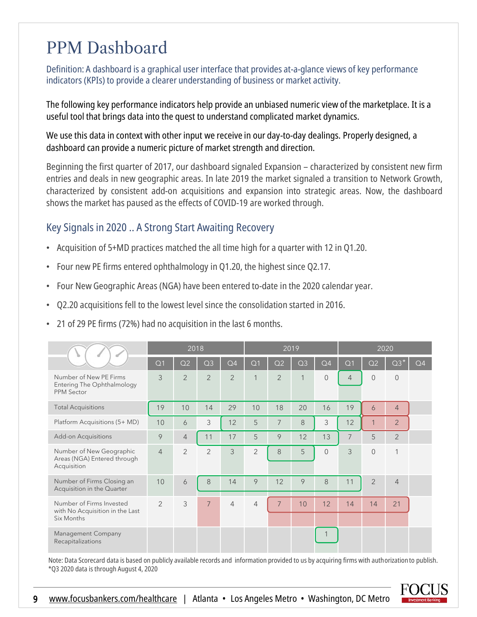### PPM Dashboard

Definition: A dashboard is a graphical user interface that provides at-a-glance views of key performance indicators (KPIs) to provide a clearer understanding of business or market activity.

The following key performance indicators help provide an unbiased numeric view of the marketplace. It is a useful tool that brings data into the quest to understand complicated market dynamics.

We use this data in context with other input we receive in our day-to-day dealings. Properly designed, a dashboard can provide a numeric picture of market strength and direction.

Beginning the first quarter of 2017, our dashboard signaled Expansion – characterized by consistent new firm entries and deals in new geographic areas. In late 2019 the market signaled a transition to Network Growth, characterized by consistent add-on acquisitions and expansion into strategic areas. Now, the dashboard shows the market has paused as the effects of COVID-19 are worked through.

#### Key Signals in 2020 .. A Strong Start Awaiting Recovery

- Acquisition of 5+MD practices matched the all time high for a quarter with 12 in Q1.20.
- Four new PE firms entered ophthalmology in Q1.20, the highest since Q2.17.
- Four New Geographic Areas (NGA) have been entered to-date in the 2020 calendar year.
- Q2.20 acquisitions fell to the lowest level since the consolidation started in 2016.
- 21 of 29 PE firms (72%) had no acquisition in the last 6 months.

|                                                                           | 2018           |                |                |                | 2019           |                |                |                | 2020           |                |                |                |
|---------------------------------------------------------------------------|----------------|----------------|----------------|----------------|----------------|----------------|----------------|----------------|----------------|----------------|----------------|----------------|
|                                                                           | Q <sub>1</sub> | Q <sub>2</sub> | Q <sub>3</sub> | Q4             | Q <sub>1</sub> | Q2             | Q <sub>3</sub> | Q4             | Q <sub>1</sub> | Q <sub>2</sub> | $Q3*$          | Q <sub>4</sub> |
| Number of New PE Firms<br>Entering The Ophthalmology<br><b>PPM Sector</b> | 3              | $\overline{2}$ | $\overline{2}$ | $\overline{2}$ | 1              | $\overline{2}$ | 1              | $\overline{0}$ | $\overline{4}$ | $\overline{0}$ | $\overline{0}$ |                |
| <b>Total Acquisitions</b>                                                 | 19             | 10             | 14             | 29             | 10             | 18             | 20             | 16             | 19             | 6              | $\overline{4}$ |                |
| Platform Acquisitions (5+ MD)                                             | 10             | 6              | 3              | 12             | 5              | $\overline{7}$ | 8              | 3              | 12             | 1              | $\overline{2}$ |                |
| <b>Add-on Acquisitions</b>                                                | 9              | $\overline{4}$ | 11             | 17             | 5              | 9              | 12             | 13             | 7              | 5              | $\overline{2}$ |                |
| Number of New Geographic<br>Areas (NGA) Entered through<br>Acquisition    | $\overline{4}$ | $\overline{2}$ | $\overline{2}$ | 3              | $\overline{2}$ | 8              | 5              | $\Omega$       | 3              | $\overline{0}$ | 1              |                |
| Number of Firms Closing an<br>Acquisition in the Quarter                  | 10             | 6              | 8              | 14             | 9              | 12             | 9              | 8              | 11             | $\overline{2}$ | $\overline{4}$ |                |
| Number of Firms Invested<br>with No Acquisition in the Last<br>Six Months | $\overline{2}$ | 3              | $\overline{7}$ | $\overline{4}$ | $\overline{4}$ | $\overline{7}$ | 10             | 12             | 14             | 14             | 21             |                |
| Management Company<br>Recapitalizations                                   |                |                |                |                |                |                |                |                |                |                |                |                |

Note: Data Scorecard data is based on publicly available records and information provided to us by acquiring firms with authorization to publish. \*Q3 2020 data is through August 4, 2020

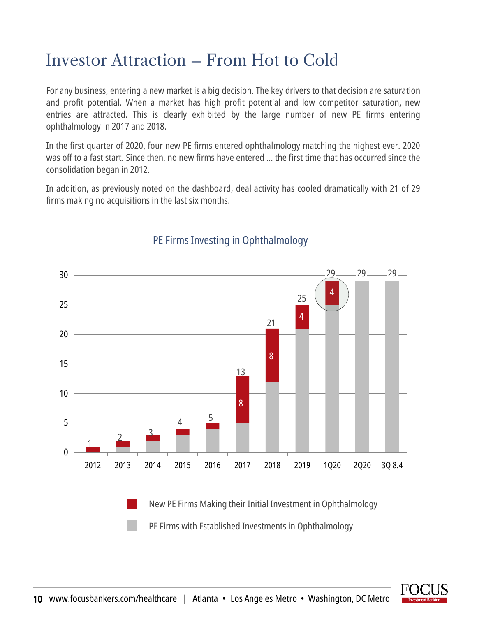### Investor Attraction – From Hot to Cold

For any business, entering a new market is a big decision. The key drivers to that decision are saturation and profit potential. When a market has high profit potential and low competitor saturation, new entries are attracted. This is clearly exhibited by the large number of new PE firms entering ophthalmology in 2017 and 2018.

In the first quarter of 2020, four new PE firms entered ophthalmology matching the highest ever. 2020 was off to a fast start. Since then, no new firms have entered … the first time that has occurred since the consolidation began in 2012.

In addition, as previously noted on the dashboard, deal activity has cooled dramatically with 21 of 29 firms making no acquisitions in the last six months.



### PE Firms Investing in Ophthalmology

New PE Firms Making their Initial Investment in Ophthalmology

PE Firms with Established Investments in Ophthalmology

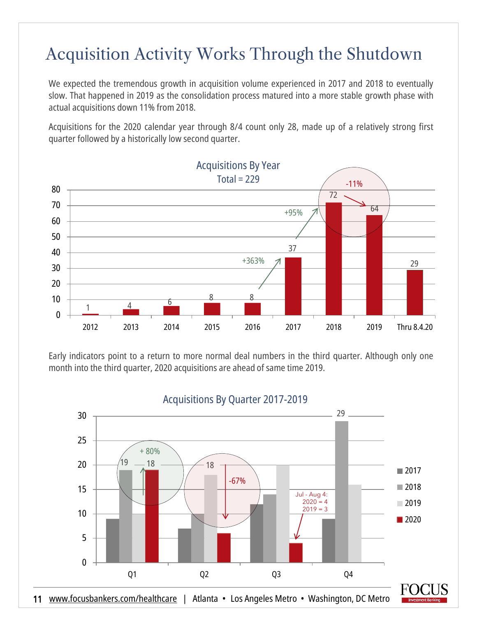### Acquisition Activity Works Through the Shutdown

We expected the tremendous growth in acquisition volume experienced in 2017 and 2018 to eventually slow. That happened in 2019 as the consolidation process matured into a more stable growth phase with actual acquisitions down 11% from 2018.

Acquisitions for the 2020 calendar year through 8/4 count only 28, made up of a relatively strong first quarter followed by a historically low second quarter.



Early indicators point to a return to more normal deal numbers in the third quarter. Although only one month into the third quarter, 2020 acquisitions are ahead of same time 2019.

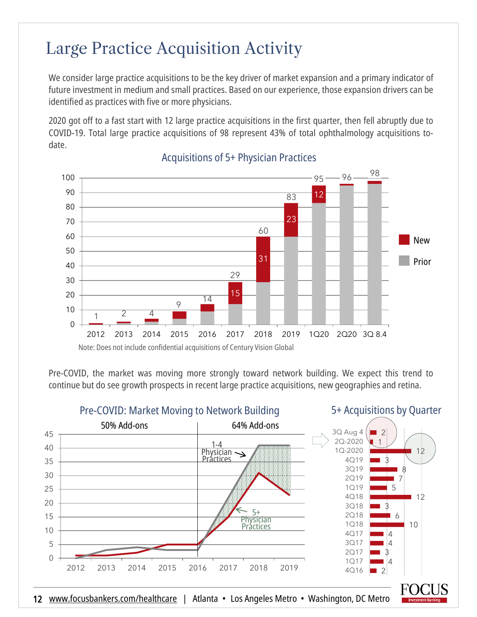### Large Practice Acquisition Activity

We consider large practice acquisitions to be the key driver of market expansion and a primary indicator of future investment in medium and small practices. Based on our experience, those expansion drivers can be identified as practices with five or more physicians.

2020 got off to a fast start with 12 large practice acquisitions in the first quarter, then fell abruptly due to COVID-19. Total large practice acquisitions of 98 represent 43% of total ophthalmology acquisitions todate.



#### Acquisitions of 5+ Physician Practices

Pre-COVID, the market was moving more strongly toward network building. We expect this trend to continue but do see growth prospects in recent large practice acquisitions, new geographies and retina.

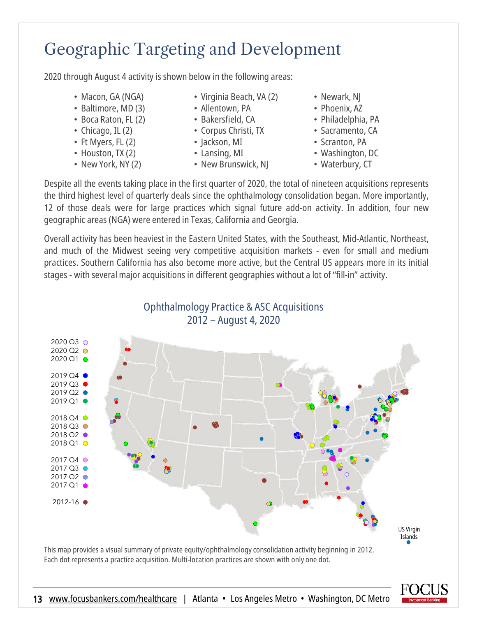# Geographic Targeting and Development

2020 through August 4 activity is shown below in the following areas:

- Macon, GA (NGA)
- Baltimore, MD (3)
- Boca Raton, FL (2)
- Chicago, IL (2)
- Ft Myers, FL (2)
- Houston, TX (2)
- New York, NY (2)
- Virginia Beach, VA (2)
- Allentown, PA
- Bakersfield, CA
- Corpus Christi, TX
- Jackson, MI
- Lansing, MI
- New Brunswick, NJ
- Newark, NJ
- Phoenix, AZ
- Philadelphia, PA
- Sacramento, CA
- Scranton, PA
- Washington, DC
- Waterbury, CT

Despite all the events taking place in the first quarter of 2020, the total of nineteen acquisitions represents the third highest level of quarterly deals since the ophthalmology consolidation began. More importantly, 12 of those deals were for large practices which signal future add-on activity. In addition, four new geographic areas(NGA) were entered in Texas, California and Georgia.

Overall activity has been heaviest in the Eastern United States, with the Southeast, Mid-Atlantic, Northeast, and much of the Midwest seeing very competitive acquisition markets - even for small and medium practices. Southern California has also become more active, but the Central US appears more in its initial stages - with several major acquisitions in different geographies without a lot of "fill-in" activity.

Ophthalmology Practice & ASC Acquisitions



This map provides a visual summary of private equity/ophthalmology consolidation activity beginning in 2012. Each dot represents a practice acquisition. Multi-location practices are shown with only one dot.

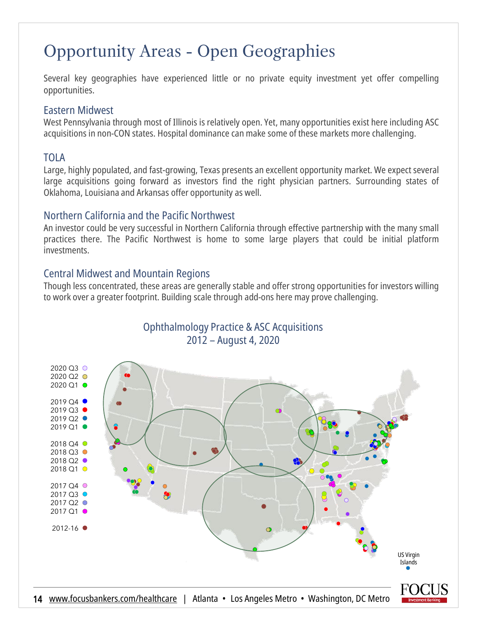# Opportunity Areas - Open Geographies

Several key geographies have experienced little or no private equity investment yet offer compelling opportunities.

#### Eastern Midwest

West Pennsylvania through most of Illinois is relatively open. Yet, many opportunities exist here including ASC acquisitions in non-CON states. Hospital dominance can make some of these markets more challenging.

#### TOLA

Large, highly populated, and fast-growing, Texas presents an excellent opportunity market. We expect several large acquisitions going forward as investors find the right physician partners. Surrounding states of Oklahoma, Louisiana and Arkansas offer opportunity as well.

#### Northern California and the Pacific Northwest

An investor could be very successful in Northern California through effective partnership with the many small practices there. The Pacific Northwest is home to some large players that could be initial platform investments.

#### Central Midwest and Mountain Regions

Though less concentrated, these areas are generally stable and offer strong opportunities for investors willing to work over a greater footprint. Building scale through add-ons here may prove challenging.

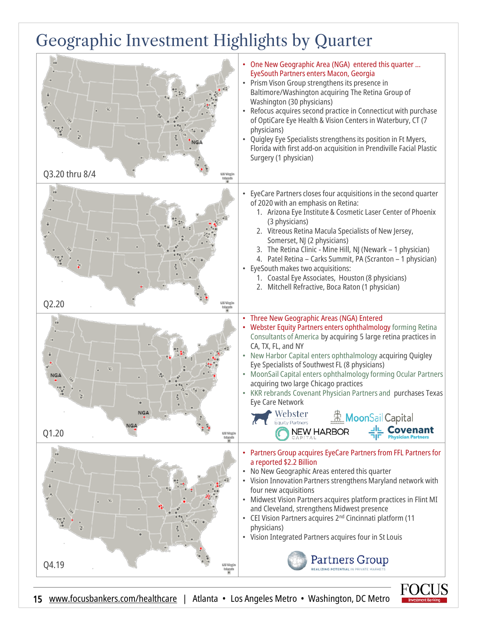# Geographic Investment Highlights by Quarter

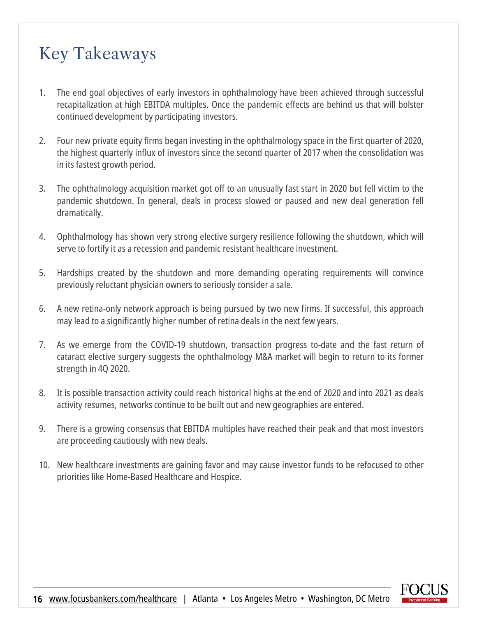# Key Takeaways

- 1. The end goal objectives of early investors in ophthalmology have been achieved through successful recapitalization at high EBITDA multiples. Once the pandemic effects are behind us that will bolster continued development by participating investors.
- 2. Four new private equity firms began investing in the ophthalmology space in the first quarter of 2020, the highest quarterly influx of investors since the second quarter of 2017 when the consolidation was in its fastest growth period.
- 3. The ophthalmology acquisition market got off to an unusually fast start in 2020 but fell victim to the pandemic shutdown. In general, deals in process slowed or paused and new deal generation fell dramatically.
- 4. Ophthalmology has shown very strong elective surgery resilience following the shutdown, which will serve to fortify it as a recession and pandemic resistant healthcare investment.
- 5. Hardships created by the shutdown and more demanding operating requirements will convince previously reluctant physician owners to seriously consider a sale.
- 6. A new retina-only network approach is being pursued by two new firms. If successful, this approach may lead to a significantly higher number of retina deals in the next few years.
- 7. As we emerge from the COVID-19 shutdown, transaction progress to-date and the fast return of cataract elective surgery suggests the ophthalmology M&A market will begin to return to its former strength in 4Q 2020.
- 8. It is possible transaction activity could reach historical highs at the end of 2020 and into 2021 as deals activity resumes, networks continue to be built out and new geographies are entered.
- 9. There is a growing consensus that EBITDA multiples have reached their peak and that most investors are proceeding cautiously with new deals.
- 10. New healthcare investments are gaining favor and may cause investor funds to be refocused to other priorities like Home-Based Healthcare and Hospice.